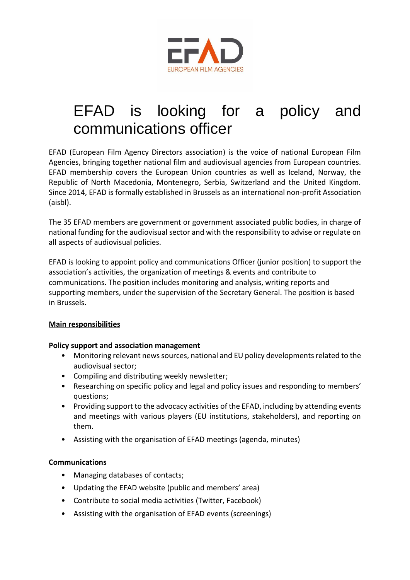

# EFAD is looking for a policy and communications officer

EFAD (European Film Agency Directors association) is the voice of national European Film Agencies, bringing together national film and audiovisual agencies from European countries. EFAD membership covers the European Union countries as well as Iceland, Norway, the Republic of North Macedonia, Montenegro, Serbia, Switzerland and the United Kingdom. Since 2014, EFAD is formally established in Brussels as an international non-profit Association (aisbl).

The 35 EFAD members are government or government associated public bodies, in charge of national funding for the audiovisual sector and with the responsibility to advise or regulate on all aspects of audiovisual policies.

EFAD is looking to appoint policy and communications Officer (junior position) to support the association's activities, the organization of meetings & events and contribute to communications. The position includes monitoring and analysis, writing reports and supporting members, under the supervision of the Secretary General. The position is based in Brussels.

## **Main responsibilities**

#### **Policy support and association management**

- Monitoring relevant news sources, national and EU policy developments related to the audiovisual sector;
- Compiling and distributing weekly newsletter;
- Researching on specific policy and legal and policy issues and responding to members' questions;
- Providing support to the advocacy activities of the EFAD, including by attending events and meetings with various players (EU institutions, stakeholders), and reporting on them.
- Assisting with the organisation of EFAD meetings (agenda, minutes)

#### **Communications**

- Managing databases of contacts;
- Updating the EFAD website (public and members' area)
- Contribute to social media activities (Twitter, Facebook)
- Assisting with the organisation of EFAD events (screenings)